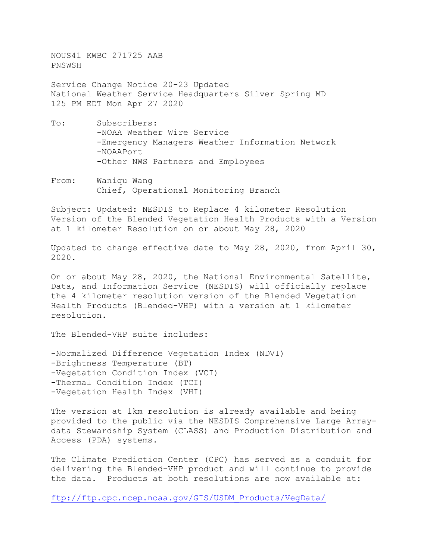NOUS41 KWBC 271725 AAB PNSWSH

Service Change Notice 20-23 Updated National Weather Service Headquarters Silver Spring MD 125 PM EDT Mon Apr 27 2020

- To: Subscribers: -NOAA Weather Wire Service -Emergency Managers Weather Information Network -NOAAPort -Other NWS Partners and Employees
- From: Waniqu Wang Chief, Operational Monitoring Branch

Subject: Updated: NESDIS to Replace 4 kilometer Resolution Version of the Blended Vegetation Health Products with a Version at 1 kilometer Resolution on or about May 28, 2020

Updated to change effective date to May 28, 2020, from April 30, 2020.

On or about May 28, 2020, the National Environmental Satellite, Data, and Information Service (NESDIS) will officially replace the 4 kilometer resolution version of the Blended Vegetation Health Products (Blended-VHP) with a version at 1 kilometer resolution.

The Blended-VHP suite includes:

-Normalized Difference Vegetation Index (NDVI) -Brightness Temperature (BT) -Vegetation Condition Index (VCI) -Thermal Condition Index (TCI) -Vegetation Health Index (VHI)

The version at 1km resolution is already available and being provided to the public via the NESDIS Comprehensive Large Arraydata Stewardship System (CLASS) and Production Distribution and Access (PDA) systems.

The Climate Prediction Center (CPC) has served as a conduit for delivering the Blended-VHP product and will continue to provide the data. Products at both resolutions are now available at:

[ftp://ftp.cpc.ncep.noaa.gov/GIS/USDM\\_Products/VegData/](ftp://ftp.cpc.ncep.noaa.gov/GIS/USDM_Products/VegData/)